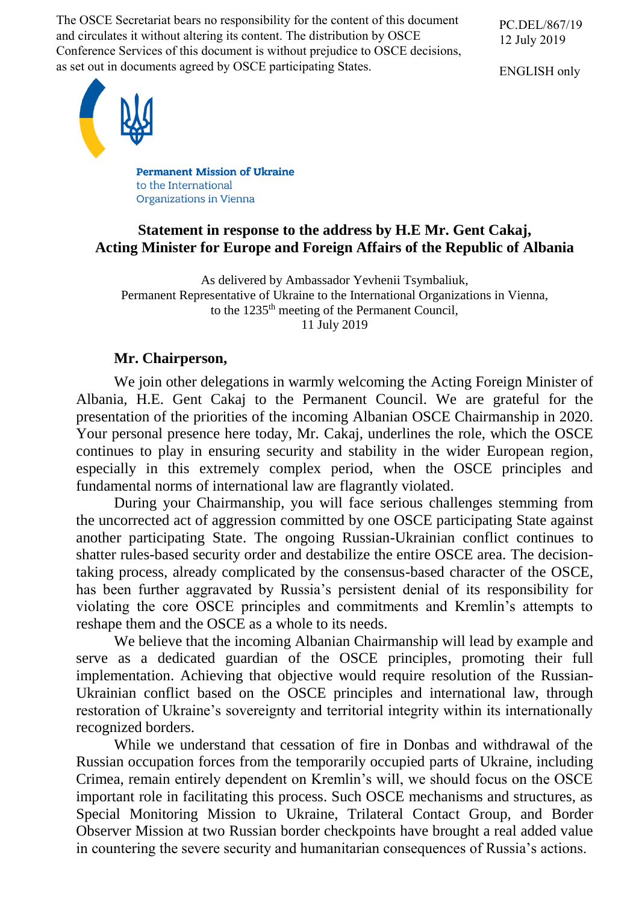The OSCE Secretariat bears no responsibility for the content of this document and circulates it without altering its content. The distribution by OSCE Conference Services of this document is without prejudice to OSCE decisions, as set out in documents agreed by OSCE participating States.

PC.DEL/867/19 12 July 2019

ENGLISH only



**Permanent Mission of Ukraine** to the International **Organizations in Vienna** 

## **Statement in response to the address by H.E Mr. Gent Cakaj, Acting Minister for Europe and Foreign Affairs of the Republic of Albania**

As delivered by Ambassador Yevhenii Tsymbaliuk, Permanent Representative of Ukraine to the International Organizations in Vienna, to the 1235<sup>th</sup> meeting of the Permanent Council, 11 July 2019

## **Mr. Chairperson,**

We join other delegations in warmly welcoming the Acting Foreign Minister of Albania, H.E. Gent Cakaj to the Permanent Council. We are grateful for the presentation of the priorities of the incoming Albanian OSCE Chairmanship in 2020. Your personal presence here today, Mr. Cakaj, underlines the role, which the OSCE continues to play in ensuring security and stability in the wider European region, especially in this extremely complex period, when the OSCE principles and fundamental norms of international law are flagrantly violated.

During your Chairmanship, you will face serious challenges stemming from the uncorrected act of aggression committed by one OSCE participating State against another participating State. The ongoing Russian-Ukrainian conflict continues to shatter rules-based security order and destabilize the entire OSCE area. The decisiontaking process, already complicated by the consensus-based character of the OSCE, has been further aggravated by Russia's persistent denial of its responsibility for violating the core OSCE principles and commitments and Kremlin's attempts to reshape them and the OSCE as a whole to its needs.

We believe that the incoming Albanian Chairmanship will lead by example and serve as a dedicated guardian of the OSCE principles, promoting their full implementation. Achieving that objective would require resolution of the Russian-Ukrainian conflict based on the OSCE principles and international law, through restoration of Ukraine's sovereignty and territorial integrity within its internationally recognized borders.

While we understand that cessation of fire in Donbas and withdrawal of the Russian occupation forces from the temporarily occupied parts of Ukraine, including Crimea, remain entirely dependent on Kremlin's will, we should focus on the OSCE important role in facilitating this process. Such OSCE mechanisms and structures, as Special Monitoring Mission to Ukraine, Trilateral Contact Group, and Border Observer Mission at two Russian border checkpoints have brought a real added value in countering the severe security and humanitarian consequences of Russia's actions.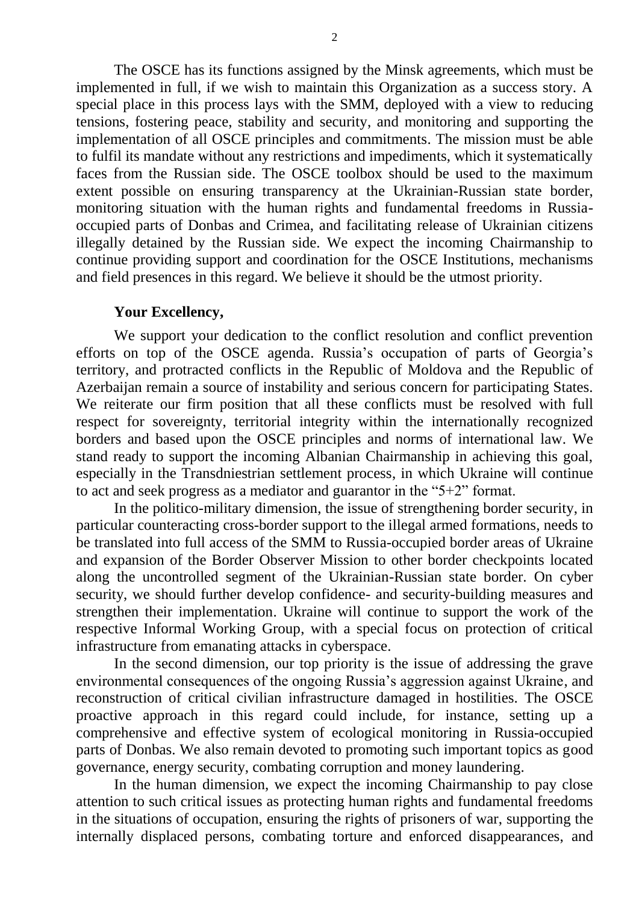The OSCE has its functions assigned by the Minsk agreements, which must be implemented in full, if we wish to maintain this Organization as a success story. A special place in this process lays with the SMM, deployed with a view to reducing tensions, fostering peace, stability and security, and monitoring and supporting the implementation of all OSCE principles and commitments. The mission must be able to fulfil its mandate without any restrictions and impediments, which it systematically faces from the Russian side. The OSCE toolbox should be used to the maximum extent possible on ensuring transparency at the Ukrainian-Russian state border, monitoring situation with the human rights and fundamental freedoms in Russiaoccupied parts of Donbas and Crimea, and facilitating release of Ukrainian citizens illegally detained by the Russian side. We expect the incoming Chairmanship to continue providing support and coordination for the OSCE Institutions, mechanisms and field presences in this regard. We believe it should be the utmost priority.

## **Your Excellency,**

We support your dedication to the conflict resolution and conflict prevention efforts on top of the OSCE agenda. Russia's occupation of parts of Georgia's territory, and protracted conflicts in the Republic of Moldova and the Republic of Azerbaijan remain a source of instability and serious concern for participating States. We reiterate our firm position that all these conflicts must be resolved with full respect for sovereignty, territorial integrity within the internationally recognized borders and based upon the OSCE principles and norms of international law. We stand ready to support the incoming Albanian Chairmanship in achieving this goal, especially in the Transdniestrian settlement process, in which Ukraine will continue to act and seek progress as a mediator and guarantor in the "5+2" format.

In the politico-military dimension, the issue of strengthening border security, in particular counteracting cross-border support to the illegal armed formations, needs to be translated into full access of the SMM to Russia-occupied border areas of Ukraine and expansion of the Border Observer Mission to other border checkpoints located along the uncontrolled segment of the Ukrainian-Russian state border. On cyber security, we should further develop confidence- and security-building measures and strengthen their implementation. Ukraine will continue to support the work of the respective Informal Working Group, with a special focus on protection of critical infrastructure from emanating attacks in cyberspace.

In the second dimension, our top priority is the issue of addressing the grave environmental consequences of the ongoing Russia's aggression against Ukraine, and reconstruction of critical civilian infrastructure damaged in hostilities. The OSCE proactive approach in this regard could include, for instance, setting up a comprehensive and effective system of ecological monitoring in Russia-occupied parts of Donbas. We also remain devoted to promoting such important topics as good governance, energy security, combating corruption and money laundering.

In the human dimension, we expect the incoming Chairmanship to pay close attention to such critical issues as protecting human rights and fundamental freedoms in the situations of occupation, ensuring the rights of prisoners of war, supporting the internally displaced persons, combating torture and enforced disappearances, and